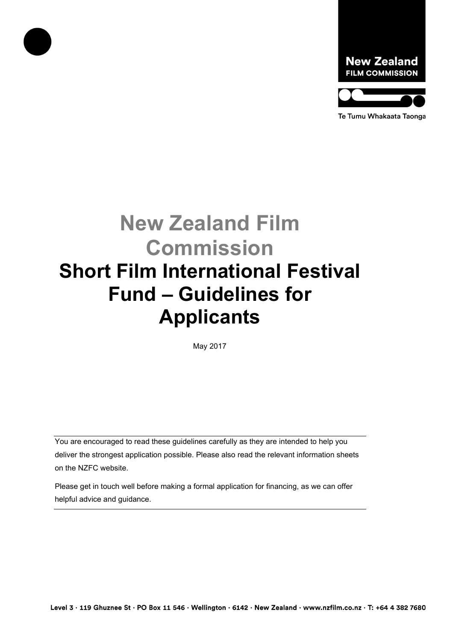



**New Zealand Film Commission Short Film International Festival Fund – Guidelines for Applicants**

May 2017

You are encouraged to read these guidelines carefully as they are intended to help you deliver the strongest application possible. Please also read the relevant information sheets on the NZFC website.

Please get in touch well before making a formal application for financing, as we can offer helpful advice and guidance.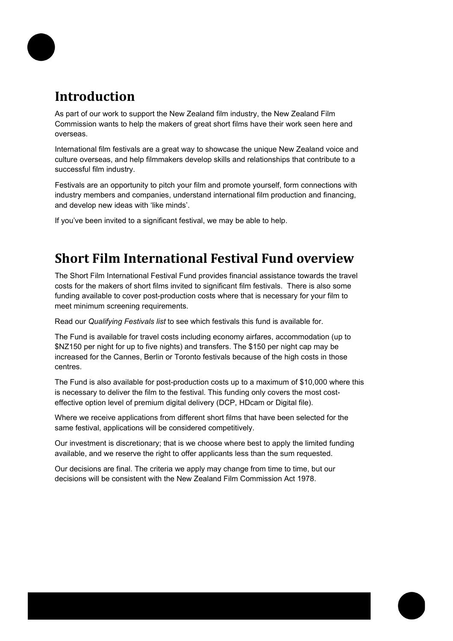

## **Introduction**

As part of our work to support the New Zealand film industry, the New Zealand Film Commission wants to help the makers of great short films have their work seen here and overseas.

International film festivals are a great way to showcase the unique New Zealand voice and culture overseas, and help filmmakers develop skills and relationships that contribute to a successful film industry.

Festivals are an opportunity to pitch your film and promote yourself, form connections with industry members and companies, understand international film production and financing, and develop new ideas with 'like minds'.

If you've been invited to a significant festival, we may be able to help.

### **Short Film International Festival Fund overview**

The Short Film International Festival Fund provides financial assistance towards the travel costs for the makers of short films invited to significant film festivals. There is also some funding available to cover post-production costs where that is necessary for your film to meet minimum screening requirements.

Read our *Qualifying Festivals list* to see which festivals this fund is available for.

The Fund is available for travel costs including economy airfares, accommodation (up to \$NZ150 per night for up to five nights) and transfers. The \$150 per night cap may be increased for the Cannes, Berlin or Toronto festivals because of the high costs in those centres.

The Fund is also available for post-production costs up to a maximum of \$10,000 where this is necessary to deliver the film to the festival. This funding only covers the most costeffective option level of premium digital delivery (DCP, HDcam or Digital file).

Where we receive applications from different short films that have been selected for the same festival, applications will be considered competitively.

Our investment is discretionary; that is we choose where best to apply the limited funding available, and we reserve the right to offer applicants less than the sum requested.

Our decisions are final. The criteria we apply may change from time to time, but our decisions will be consistent with the New Zealand Film Commission Act 1978.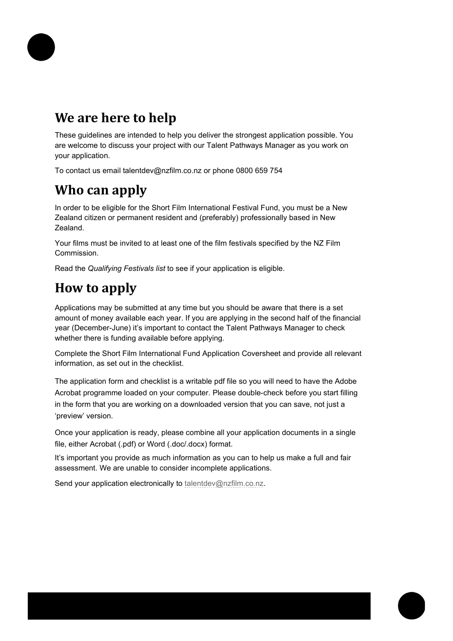

## **We are here to help**

These guidelines are intended to help you deliver the strongest application possible. You are welcome to discuss your project with our Talent Pathways Manager as you work on your application.

To contact us email talentdev@nzfilm.co.nz or phone 0800 659 754

## **Who can apply**

In order to be eligible for the Short Film International Festival Fund, you must be a New Zealand citizen or permanent resident and (preferably) professionally based in New Zealand.

Your films must be invited to at least one of the film festivals specified by the NZ Film Commission.

Read the *Qualifying Festivals list* to see if your application is eligible.

# **How to apply**

Applications may be submitted at any time but you should be aware that there is a set amount of money available each year. If you are applying in the second half of the financial year (December-June) it's important to contact the Talent Pathways Manager to check whether there is funding available before applying.

Complete the Short Film International Fund Application Coversheet and provide all relevant information, as set out in the checklist.

The application form and checklist is a writable pdf file so you will need to have the Adobe Acrobat programme loaded on your computer. Please double-check before you start filling in the form that you are working on a downloaded version that you can save, not just a 'preview' version.

Once your application is ready, please combine all your application documents in a single file, either Acrobat (.pdf) or Word (.doc/.docx) format.

It's important you provide as much information as you can to help us make a full and fair assessment. We are unable to consider incomplete applications.

Send your application electronically to [talentdev@nzfilm.co.nz.](mailto:talentdev@nzfilm.co.nz)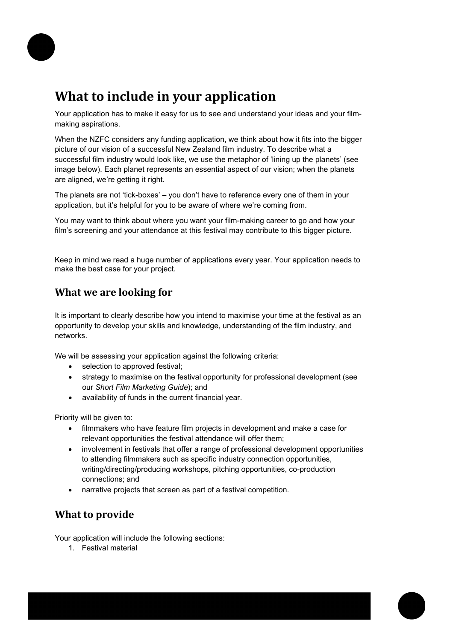

### **What to include in your application**

Your application has to make it easy for us to see and understand your ideas and your filmmaking aspirations.

When the NZFC considers any funding application, we think about how it fits into the bigger picture of our vision of a successful New Zealand film industry. To describe what a successful film industry would look like, we use the metaphor of 'lining up the planets' (see image below). Each planet represents an essential aspect of our vision; when the planets are aligned, we're getting it right.

The planets are not 'tick-boxes' – you don't have to reference every one of them in your application, but it's helpful for you to be aware of where we're coming from.

You may want to think about where you want your film-making career to go and how your film's screening and your attendance at this festival may contribute to this bigger picture.

Keep in mind we read a huge number of applications every year. Your application needs to make the best case for your project.

### **What we are looking for**

It is important to clearly describe how you intend to maximise your time at the festival as an opportunity to develop your skills and knowledge, understanding of the film industry, and networks.

We will be assessing your application against the following criteria:

- selection to approved festival;
- strategy to maximise on the festival opportunity for professional development (see our *[Short Film Marketing Guide](http://www.nzfilm.co.nz/sites/nzfc/files/Short%20Film%20Marketing%20Guide%20-%2016%20October%202014.pdf)*); and
- availability of funds in the current financial year.

Priority will be given to:

- filmmakers who have feature film projects in development and make a case for relevant opportunities the festival attendance will offer them;
- involvement in festivals that offer a range of professional development opportunities to attending filmmakers such as specific industry connection opportunities, writing/directing/producing workshops, pitching opportunities, co-production connections; and
- narrative projects that screen as part of a festival competition.

### **What to provide**

Your application will include the following sections:

1. Festival material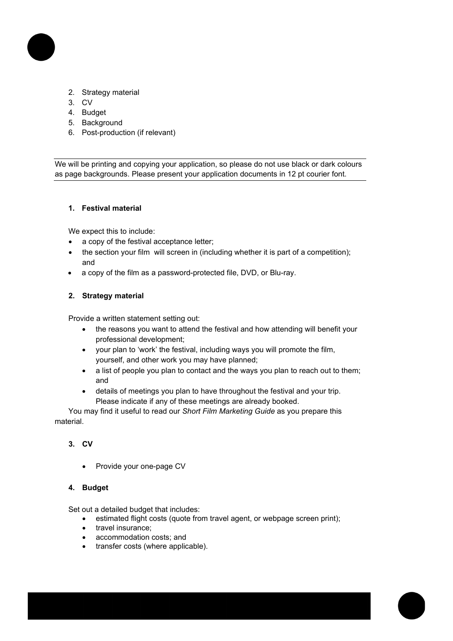

- 2. Strategy material
- 3. CV
- 4. Budget
- 5. Background
- 6. Post-production (if relevant)

We will be printing and copying your application, so please do not use black or dark colours as page backgrounds. Please present your application documents in 12 pt courier font.

#### **1. Festival material**

We expect this to include:

- a copy of the festival acceptance letter;
- the section your film will screen in (including whether it is part of a competition); and
- a copy of the film as a password-protected file, DVD, or Blu-ray.

#### **2. Strategy material**

Provide a written statement setting out:

- the reasons you want to attend the festival and how attending will benefit your professional development;
- your plan to 'work' the festival, including ways you will promote the film, yourself, and other work you may have planned;
- a list of people you plan to contact and the ways you plan to reach out to them; and
- details of meetings you plan to have throughout the festival and your trip. Please indicate if any of these meetings are already booked.

You may find it useful to read our *Short Film Marketing Guide* as you prepare this material.

#### **3. CV**

• Provide your one-page CV

#### **4. Budget**

Set out a detailed budget that includes:

- estimated flight costs (quote from travel agent, or webpage screen print);
- travel insurance;
- accommodation costs; and
- transfer costs (where applicable).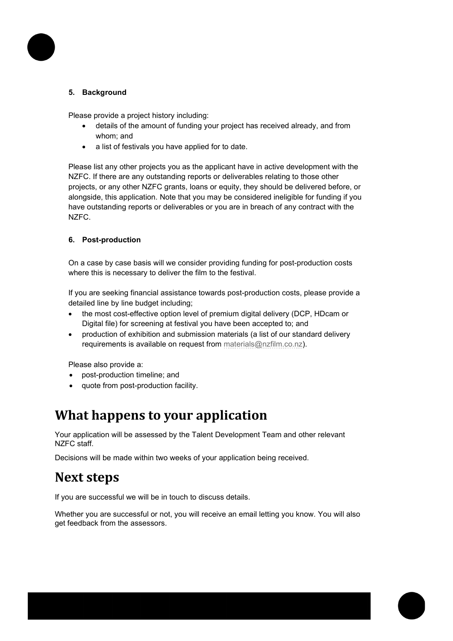

#### **5. Background**

Please provide a project history including:

- details of the amount of funding your project has received already, and from whom; and
- a list of festivals you have applied for to date.

Please list any other projects you as the applicant have in active development with the NZFC. If there are any outstanding reports or deliverables relating to those other projects, or any other NZFC grants, loans or equity, they should be delivered before, or alongside, this application. Note that you may be considered ineligible for funding if you have outstanding reports or deliverables or you are in breach of any contract with the NZFC.

#### **6. Post-production**

On a case by case basis will we consider providing funding for post-production costs where this is necessary to deliver the film to the festival.

If you are seeking financial assistance towards post-production costs, please provide a detailed line by line budget including;

- the most cost-effective option level of premium digital delivery (DCP, HDcam or Digital file) for screening at festival you have been accepted to; and
- production of exhibition and submission materials (a list of our standard delivery requirements is available on request from [materials@nzfilm.co.nz\)](mailto:materials@nzfilm.co.nz).

Please also provide a:

- post-production timeline; and
- quote from post-production facility.

### **What happens to your application**

Your application will be assessed by the Talent Development Team and other relevant NZFC staff.

Decisions will be made within two weeks of your application being received.

### **Next steps**

If you are successful we will be in touch to discuss details.

Whether you are successful or not, you will receive an email letting you know. You will also get feedback from the assessors.